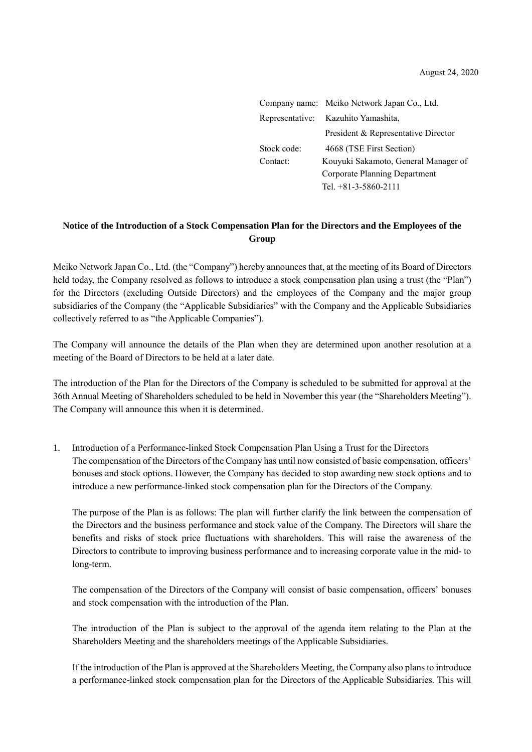|             | Company name: Meiko Network Japan Co., Ltd. |
|-------------|---------------------------------------------|
|             | Representative: Kazuhito Yamashita,         |
|             | President & Representative Director         |
| Stock code: | 4668 (TSE First Section)                    |
| Contact:    | Kouyuki Sakamoto, General Manager of        |
|             | Corporate Planning Department               |
|             | Tel. $+81-3-5860-2111$                      |

## **Notice of the Introduction of a Stock Compensation Plan for the Directors and the Employees of the Group**

Meiko Network Japan Co., Ltd. (the "Company") hereby announces that, at the meeting of its Board of Directors held today, the Company resolved as follows to introduce a stock compensation plan using a trust (the "Plan") for the Directors (excluding Outside Directors) and the employees of the Company and the major group subsidiaries of the Company (the "Applicable Subsidiaries" with the Company and the Applicable Subsidiaries collectively referred to as "the Applicable Companies").

The Company will announce the details of the Plan when they are determined upon another resolution at a meeting of the Board of Directors to be held at a later date.

The introduction of the Plan for the Directors of the Company is scheduled to be submitted for approval at the 36th Annual Meeting of Shareholders scheduled to be held in November this year (the "Shareholders Meeting"). The Company will announce this when it is determined.

1. Introduction of a Performance-linked Stock Compensation Plan Using a Trust for the Directors The compensation of the Directors of the Company has until now consisted of basic compensation, officers' bonuses and stock options. However, the Company has decided to stop awarding new stock options and to introduce a new performance-linked stock compensation plan for the Directors of the Company.

The purpose of the Plan is as follows: The plan will further clarify the link between the compensation of the Directors and the business performance and stock value of the Company. The Directors will share the benefits and risks of stock price fluctuations with shareholders. This will raise the awareness of the Directors to contribute to improving business performance and to increasing corporate value in the mid- to long-term.

The compensation of the Directors of the Company will consist of basic compensation, officers' bonuses and stock compensation with the introduction of the Plan.

The introduction of the Plan is subject to the approval of the agenda item relating to the Plan at the Shareholders Meeting and the shareholders meetings of the Applicable Subsidiaries.

If the introduction of the Plan is approved at the Shareholders Meeting, the Company also plans to introduce a performance-linked stock compensation plan for the Directors of the Applicable Subsidiaries. This will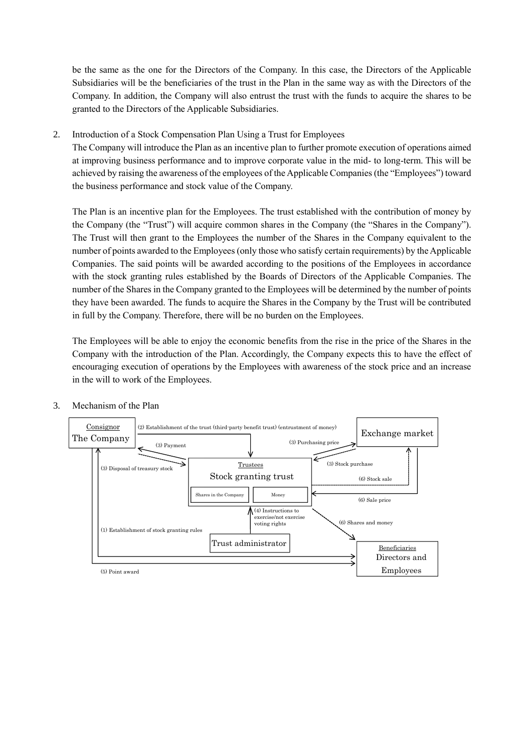be the same as the one for the Directors of the Company. In this case, the Directors of the Applicable Subsidiaries will be the beneficiaries of the trust in the Plan in the same way as with the Directors of the Company. In addition, the Company will also entrust the trust with the funds to acquire the shares to be granted to the Directors of the Applicable Subsidiaries.

2. Introduction of a Stock Compensation Plan Using a Trust for Employees

The Company will introduce the Plan as an incentive plan to further promote execution of operations aimed at improving business performance and to improve corporate value in the mid- to long-term. This will be achieved by raising the awareness of the employees of the Applicable Companies (the "Employees") toward the business performance and stock value of the Company.

The Plan is an incentive plan for the Employees. The trust established with the contribution of money by the Company (the "Trust") will acquire common shares in the Company (the "Shares in the Company"). The Trust will then grant to the Employees the number of the Shares in the Company equivalent to the number of points awarded to the Employees (only those who satisfy certain requirements) by the Applicable Companies. The said points will be awarded according to the positions of the Employees in accordance with the stock granting rules established by the Boards of Directors of the Applicable Companies. The number of the Shares in the Company granted to the Employees will be determined by the number of points they have been awarded. The funds to acquire the Shares in the Company by the Trust will be contributed in full by the Company. Therefore, there will be no burden on the Employees.

The Employees will be able to enjoy the economic benefits from the rise in the price of the Shares in the Company with the introduction of the Plan. Accordingly, the Company expects this to have the effect of encouraging execution of operations by the Employees with awareness of the stock price and an increase in the will to work of the Employees.



3. Mechanism of the Plan